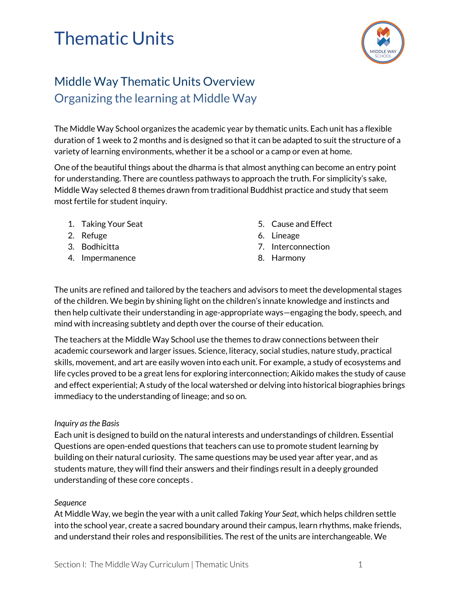# Thematic Units



### Middle Way Thematic Units Overview Organizing the learning at Middle Way

The Middle Way School organizes the academic year by thematic units. Each unit has a flexible duration of 1 week to 2 months and is designed so that it can be adapted to suit the structure of a variety of learning environments, whether it be a school or a camp or even at home.

One of the beautiful things about the dharma is that almost anything can become an entry point for understanding. There are countless pathways to approach the truth. For simplicity's sake, Middle Way selected 8 themes drawn from traditional Buddhist practice and study that seem most fertile for student inquiry.

- 1. Taking Your Seat
- 2. Refuge
- 3. Bodhicitta
- 4. Impermanence
- 5. Cause and Effect
- 6. Lineage
- 7. Interconnection
- 8. Harmony

The units are refined and tailored by the teachers and advisors to meet the developmental stages of the children. We begin by shining light on the children's innate knowledge and instincts and then help cultivate their understanding in age-appropriate ways—engaging the body, speech, and mind with increasing subtlety and depth over the course of their education.

The teachers at the Middle Way School use the themes to draw connections between their academic coursework and larger issues. Science, literacy, social studies, nature study, practical skills, movement, and art are easily woven into each unit. For example, a study of ecosystems and life cycles proved to be a great lens for exploring interconnection; Aikido makes the study of cause and effect experiential; A study of the local watershed or delving into historical biographies brings immediacy to the understanding of lineage; and so on.

#### *Inquiry asthe Basis*

Each unit is designed to build on the natural interests and understandings of children. Essential Questions are open-ended questions that teachers can use to promote student learning by building on their natural curiosity. The same questions may be used year after year, and as students mature, they will find their answers and their findings result in a deeply grounded understanding of these core concepts .

#### *Sequence*

At Middle Way, we begin the year with a unit called *Taking Your Seat*, which helps children settle into the school year, create a sacred boundary around their campus, learn rhythms, make friends, and understand their roles and responsibilities. The rest of the units are interchangeable. We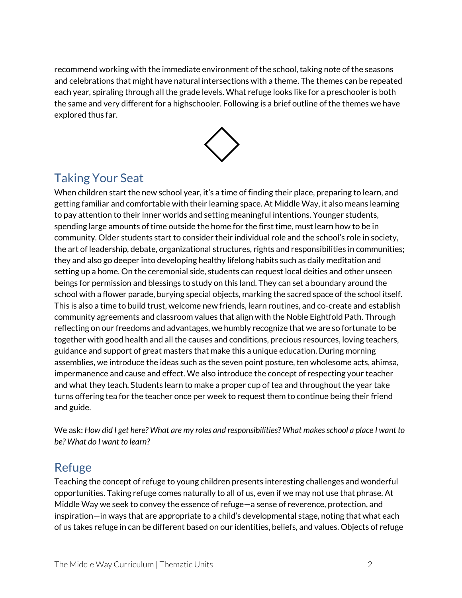recommend working with the immediate environment of the school, taking note of the seasons and celebrations that might have natural intersections with a theme. The themes can be repeated each year, spiraling through all the grade levels. What refuge looks like for a preschooler is both the same and very different for a highschooler. Following is a brief outline of the themes we have explored thus far.



## Taking Your Seat

When children start the new school year, it's a time of finding their place, preparing to learn, and getting familiar and comfortable with their learning space. At Middle Way, it also means learning to pay attention to their inner worlds and setting meaningful intentions. Younger students, spending large amounts of time outside the home for the first time, must learn how to be in community. Older students start to consider their individual role and the school's role in society, the art of leadership, debate, organizational structures, rights and responsibilities in communities; they and also go deeper into developing healthy lifelong habits such as daily meditation and setting up a home. On the ceremonial side, students can request local deities and other unseen beings for permission and blessings to study on this land. They can set a boundary around the school with a flower parade, burying special objects, marking the sacred space of the school itself. This is also a time to build trust, welcome new friends, learn routines, and co-create and establish community agreements and classroom values that align with the Noble Eightfold Path. Through reflecting on our freedoms and advantages, we humbly recognize that we are so fortunate to be together with good health and all the causes and conditions, precious resources, loving teachers, guidance and support of great masters that make this a unique education. During morning assemblies, we introduce the ideas such as the seven point posture, ten wholesome acts, ahimsa, impermanence and cause and effect. We also introduce the concept of respecting your teacher and what they teach. Students learn to make a proper cup of tea and throughout the year take turns offering tea for the teacher once per week to request them to continue being their friend and guide.

We ask: How did I get here? What are my roles and responsibilities? What makes school a place I want to *be? What do I want to learn?*

#### Refuge

Teaching the concept of refuge to young children presents interesting challenges and wonderful opportunities. Taking refuge comes naturally to all of us, even if we may not use that phrase. At Middle Way we seek to convey the essence of refuge—a sense of reverence, protection, and inspiration—in ways that are appropriate to a child's developmental stage, noting that what each of us takes refuge in can be different based on our identities, beliefs, and values. Objects of refuge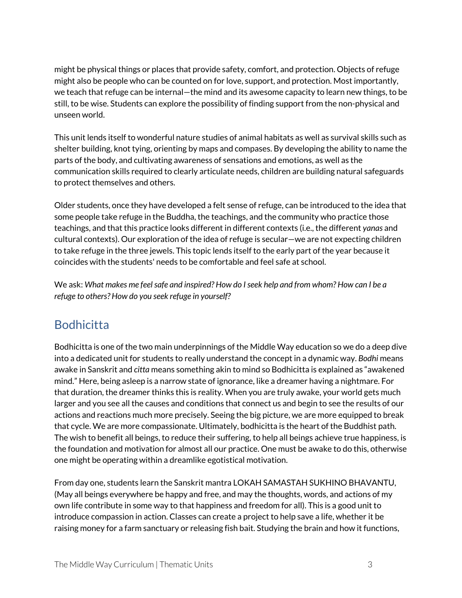might be physical things or places that provide safety, comfort, and protection. Objects of refuge might also be people who can be counted on for love, support, and protection. Most importantly, we teach that refuge can be internal—the mind and its awesome capacity to learn new things, to be still, to be wise. Students can explore the possibility of finding support from the non-physical and unseen world.

This unit lends itself to wonderful nature studies of animal habitats as well as survival skills such as shelter building, knot tying, orienting by maps and compases. By developing the ability to name the parts of the body, and cultivating awareness of sensations and emotions, as well as the communication skills required to clearly articulate needs, children are building natural safeguards to protect themselves and others.

Older students, once they have developed a felt sense of refuge, can be introduced to the idea that some people take refuge in the Buddha, the teachings, and the community who practice those teachings, and that this practice looks different in different contexts (i.e., the different *yanas* and cultural contexts). Our exploration of the idea of refuge is secular—we are not expecting children to take refuge in the three jewels. This topic lends itself to the early part of the year because it coincides with the students' needs to be comfortable and feel safe at school.

We ask: *What makes me feelsafe and inspired? How do Iseek help and from whom? How can I be a refuge to others? How do you seek refuge in yourself?*

#### **Bodhicitta**

Bodhicitta is one of the two main underpinnings of the Middle Way education so we do a deep dive into a dedicated unit for students to really understand the concept in a dynamic way. *Bodhi* means awake in Sanskrit and *citta* means something akin to mind so Bodhicitta is explained as "awakened mind." Here, being asleep is a narrow state of ignorance, like a dreamer having a nightmare. For that duration, the dreamer thinks this is reality. When you are truly awake, your world gets much larger and you see all the causes and conditions that connect us and begin to see the results of our actions and reactions much more precisely. Seeing the big picture, we are more equipped to break that cycle. We are more compassionate. Ultimately, bodhicitta is the heart of the Buddhist path. The wish to benefit all beings, to reduce their suffering, to help all beings achieve true happiness, is the foundation and motivation for almost all our practice. One must be awake to do this, otherwise one might be operating within a dreamlike egotistical motivation.

From day one, students learn the Sanskrit mantra LOKAH SAMASTAH SUKHINO BHAVANTU, (May all beings everywhere be happy and free, and may the thoughts, words, and actions of my own life contribute in some way to that happiness and freedom for all). This is a good unit to introduce compassion in action. Classes can create a project to help save a life, whether it be raising money for a farm sanctuary or releasing fish bait. Studying the brain and how it functions,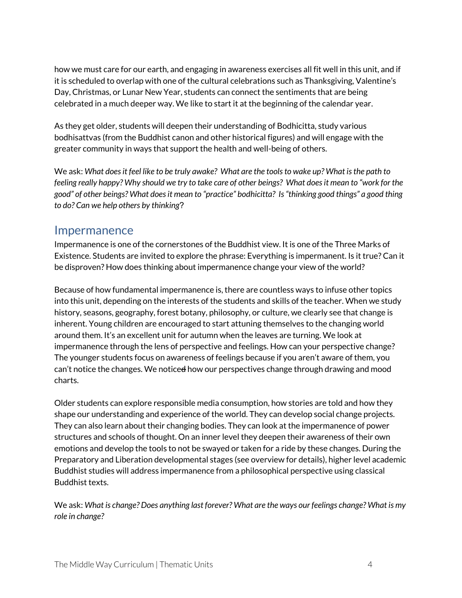how we must care for our earth, and engaging in awareness exercises all fit well in this unit, and if it is scheduled to overlap with one of the cultural celebrations such as Thanksgiving, Valentine's Day, Christmas, or Lunar New Year, students can connect the sentiments that are being celebrated in a much deeper way. We like to start it at the beginning of the calendar year.

As they get older, students will deepen their understanding of Bodhicitta, study various bodhisattvas (from the Buddhist canon and other historical figures) and will engage with the greater community in ways that support the health and well-being of others.

We ask: *What doesit feel like to be truly awake? What are the toolsto wake up? What isthe path to* feeling really happy? Why should we try to take care of other beings? What does it mean to "work for the *good" of other beings? What doesit mean to "practice" bodhicitta? Is"thinking good things" a good thing to do? Can we help others by thinking*?

#### Impermanence

Impermanence is one of the cornerstones of the Buddhist view. It is one of the Three Marks of Existence. Students are invited to explore the phrase: Everything is impermanent. Is it true? Can it be disproven? How does thinking about impermanence change your view of the world?

Because of how fundamental impermanence is, there are countless ways to infuse other topics into this unit, depending on the interests of the students and skills of the teacher. When we study history, seasons, geography, forest botany, philosophy, or culture, we clearly see that change is inherent. Young children are encouraged to start attuning themselves to the changing world around them. It's an excellent unit for autumn when the leaves are turning. We look at impermanence through the lens of perspective and feelings. How can your perspective change? The younger students focus on awareness of feelings because if you aren't aware of them, you can't notice the changes. We notice<del>d</del> how our perspectives change through drawing and mood charts.

Older students can explore responsible media consumption, how stories are told and how they shape our understanding and experience of the world. They can develop social change projects. They can also learn about their changing bodies. They can look at the impermanence of power structures and schools of thought. On an inner level they deepen their awareness of their own emotions and develop the tools to not be swayed or taken for a ride by these changes. During the Preparatory and Liberation developmental stages (see overview for details), higher level academic Buddhist studies will address impermanence from a philosophical perspective using classical Buddhist texts.

We ask: *What is change? Does anything last forever? What are the ways our feelings change? What is my role in change?*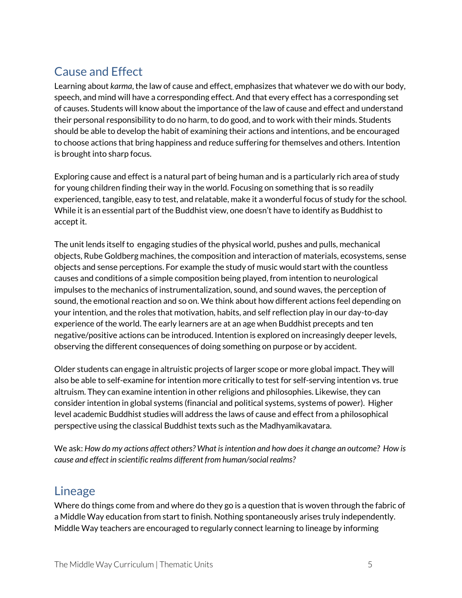### Cause and Effect

Learning about *karma*, the law of cause and effect, emphasizes that whatever we do with our body, speech, and mind will have a corresponding effect. And that every effect has a corresponding set of causes. Students will know about the importance of the law of cause and effect and understand their personal responsibility to do no harm, to do good, and to work with their minds. Students should be able to develop the habit of examining their actions and intentions, and be encouraged to choose actions that bring happiness and reduce suffering for themselves and others. Intention is brought into sharp focus.

Exploring cause and effect is a natural part of being human and is a particularly rich area of study for young children finding their way in the world. Focusing on something that is so readily experienced, tangible, easy to test, and relatable, make it a wonderful focus of study for the school. While it is an essential part of the Buddhist view, one doesn't have to identify as Buddhist to accept it.

The unit lends itself to engaging studies of the physical world, pushes and pulls, mechanical objects, Rube Goldberg machines, the composition and interaction of materials, ecosystems, sense objects and sense perceptions. For example the study of music would start with the countless causes and conditions of a simple composition being played, from intention to neurological impulses to the mechanics of instrumentalization, sound, and sound waves, the perception of sound, the emotional reaction and so on. We think about how different actions feel depending on your intention, and the roles that motivation, habits, and self reflection play in our day-to-day experience of the world. The early learners are at an age when Buddhist precepts and ten negative/positive actions can be introduced. Intention is explored on increasingly deeper levels, observing the different consequences of doing something on purpose or by accident.

Older students can engage in altruistic projects of larger scope or more global impact. They will also be able to self-examine for intention more critically to test for self-serving intention vs. true altruism. They can examine intention in other religions and philosophies. Likewise, they can consider intention in global systems (financial and political systems, systems of power). Higher level academic Buddhist studies will address the laws of cause and effect from a philosophical perspective using the classical Buddhist texts such as the Madhyamikavatara.

We ask: *How do my actions affect others? What isintention and how doesit change an outcome? How is cause and effect in scientific realms different from human/social realms?*

#### Lineage

Where do things come from and where do they go is a question that is woven through the fabric of a Middle Way education from start to finish. Nothing spontaneously arises truly independently. Middle Way teachers are encouraged to regularly connect learning to lineage by informing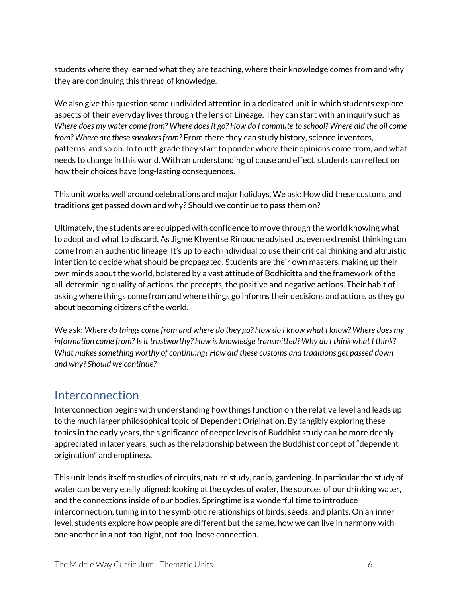students where they learned what they are teaching, where their knowledge comes from and why they are continuing this thread of knowledge.

We also give this question some undivided attention in a dedicated unit in which students explore aspects of their everyday lives through the lens of Lineage. They can start with an inquiry such as Where does my water come from? Where does it go? How do I commute to school? Where did the oil come *from? Where are these sneakersfrom?* From there they can study history, science inventors, patterns, and so on. In fourth grade they start to ponder where their opinions come from, and what needs to change in this world. With an understanding of cause and effect, students can reflect on how their choices have long-lasting consequences.

This unit works well around celebrations and major holidays. We ask: How did these customs and traditions get passed down and why? Should we continue to pass them on?

Ultimately, the students are equipped with confidence to move through the world knowing what to adopt and what to discard. As Jigme Khyentse Rinpoche advised us, even extremist thinking can come from an authentic lineage. It's up to each individual to use their critical thinking and altruistic intention to decide what should be propagated. Students are their own masters, making up their own minds about the world, bolstered by a vast attitude of Bodhicitta and the framework of the all-determining quality of actions, the precepts, the positive and negative actions. Their habit of asking where things come from and where things go informs their decisions and actions as they go about becoming citizens of the world.

We ask: Where do things come from and where do they go? How do I know what I know? Where does my *information come from? Isit trustworthy? How is knowledge transmitted? Why do I think what I think? What makessomething worthy of continuing? How did these customs and traditions get passed down and why? Should we continue?*

#### Interconnection

Interconnection begins with understanding how things function on the relative level and leads up to the much larger philosophical topic of Dependent Origination. By tangibly exploring these topics in the early years, the significance of deeper levels of Buddhist study can be more deeply appreciated in later years, such as the relationship between the Buddhist concept of "dependent origination" and emptiness.

This unit lends itself to studies of circuits, nature study, radio, gardening. In particular the study of water can be very easily aligned: looking at the cycles of water, the sources of our drinking water, and the connections inside of our bodies. Springtime is a wonderful time to introduce interconnection, tuning in to the symbiotic relationships of birds, seeds, and plants. On an inner level, students explore how people are different but the same, how we can live in harmony with one another in a not-too-tight, not-too-loose connection.